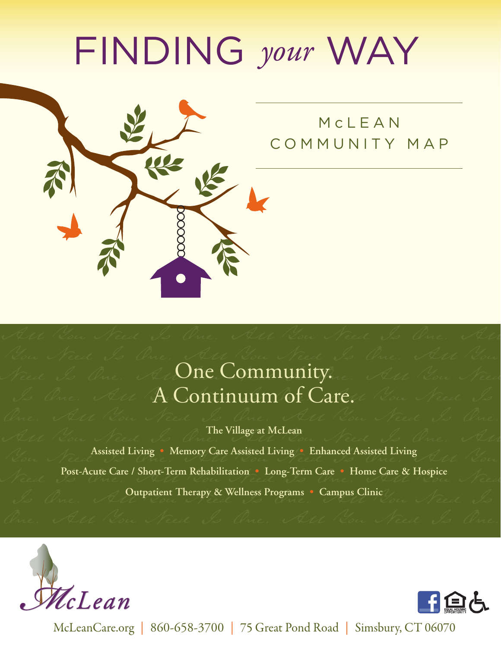## FINDING *your* WAY



## McLEAN COMMUNITY MAP

## You Need Is One. All You Need Is One. All You Need Is One. Al **One Community.** All You Need Is One. All **A Continuum of Care.** Now Need Is

One. All You Need Is One. All You Need Is One. **The Village at McLean**

All You Need Is One. All You Need Is One. All **Media Assisted Living • Memory Care Assisted Living • Enhanced Assisted Living All Now. Post-Acute Care / Short-Term Rehabilitation • Long-Term Care • Home Care & Hospice** Is One. **Outpatient Therapy & Wellness Programs • Campus Clinic** Jou Need Is





McLeanCare.org | 860-658-3700 | 75 Great Pond Road | Simsbury, CT 06070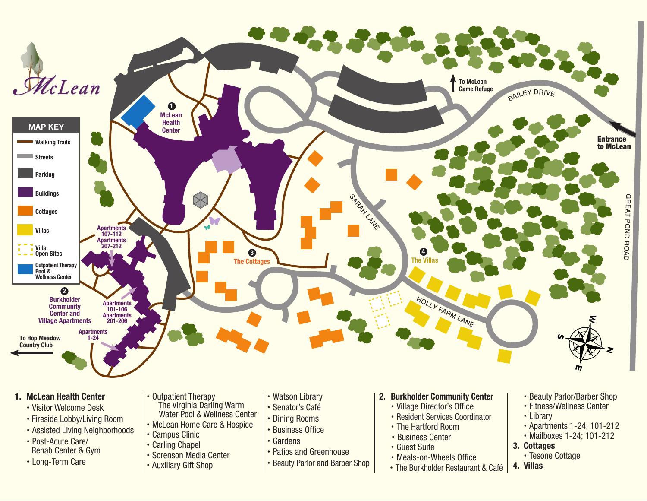

## **1. McLean Health Center**

- Visitor Welcome Desk
- Fireside Lobby/Living Room
- Assisted Living Neighborhoods
- Post-Acute Care/ Rehab Center & Gym
- Long-Term Care
- Outpatient Therapy
	- The Virginia Darling Warm Water Pool & Wellness Center
- McLean Home Care & Hospice
- Campus Clinic
- Carling Chapel
- Sorenson Media Center
- Auxiliary Gift Shop
- Watson Library
- Senator's Café
- Dining Rooms
- Business Office
- Gardens
- Patios and Greenhouse
- Beauty Parlor and Barber Shop
- **2. Burkholder Community Center**
	- Village Director's Office
	- Resident Services Coordinator
	- The Hartford Room
	- Business Center
	- Guest Suite
	- Meals-on-Wheels Office
	- The Burkholder Restaurant & Café
- Beauty Parlor/Barber Shop
- Fitness/Wellness Center
- Library
- Apartments 1-24; 101-212
- Mailboxes 1-24; 101-212
- **3. Cottages**
	- Tesone Cottage
- **4. Villas**